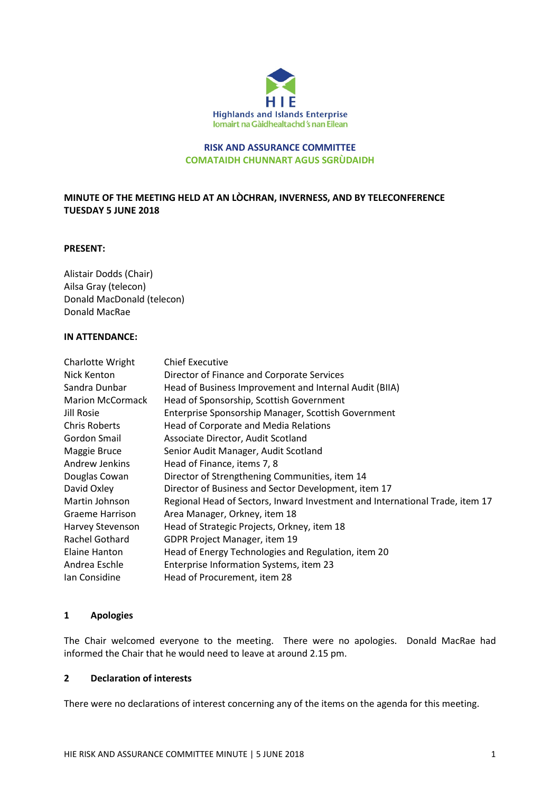

## RISK AND ASSURANCE COMMITTEE COMATAIDH CHUNNART AGUS SGRÙDAIDH

# MINUTE OF THE MEETING HELD AT AN LÒCHRAN, INVERNESS, AND BY TELECONFERENCE TUESDAY 5 JUNE 2018

#### PRESENT:

Alistair Dodds (Chair) Ailsa Gray (telecon) Donald MacDonald (telecon) Donald MacRae

# IN ATTENDANCE:

| Charlotte Wright        | <b>Chief Executive</b>                                                       |
|-------------------------|------------------------------------------------------------------------------|
| Nick Kenton             | Director of Finance and Corporate Services                                   |
| Sandra Dunbar           | Head of Business Improvement and Internal Audit (BIIA)                       |
| <b>Marion McCormack</b> | Head of Sponsorship, Scottish Government                                     |
| Jill Rosie              | Enterprise Sponsorship Manager, Scottish Government                          |
| <b>Chris Roberts</b>    | Head of Corporate and Media Relations                                        |
| Gordon Smail            | Associate Director, Audit Scotland                                           |
| Maggie Bruce            | Senior Audit Manager, Audit Scotland                                         |
| Andrew Jenkins          | Head of Finance, items 7, 8                                                  |
| Douglas Cowan           | Director of Strengthening Communities, item 14                               |
| David Oxley             | Director of Business and Sector Development, item 17                         |
| Martin Johnson          | Regional Head of Sectors, Inward Investment and International Trade, item 17 |
| <b>Graeme Harrison</b>  | Area Manager, Orkney, item 18                                                |
| Harvey Stevenson        | Head of Strategic Projects, Orkney, item 18                                  |
| Rachel Gothard          | GDPR Project Manager, item 19                                                |
| Elaine Hanton           | Head of Energy Technologies and Regulation, item 20                          |
| Andrea Eschle           | Enterprise Information Systems, item 23                                      |
| Ian Considine           | Head of Procurement, item 28                                                 |

#### 1 Apologies

The Chair welcomed everyone to the meeting. There were no apologies. Donald MacRae had informed the Chair that he would need to leave at around 2.15 pm.

# 2 Declaration of interests

There were no declarations of interest concerning any of the items on the agenda for this meeting.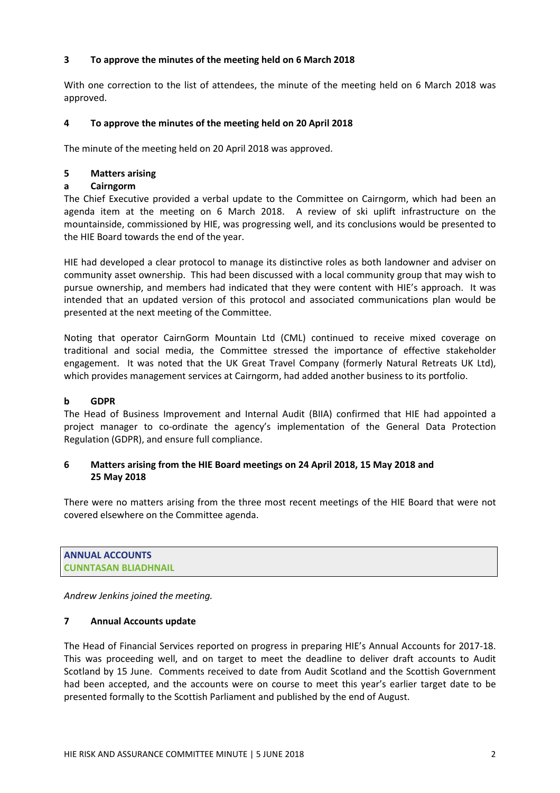# 3 To approve the minutes of the meeting held on 6 March 2018

With one correction to the list of attendees, the minute of the meeting held on 6 March 2018 was approved.

# 4 To approve the minutes of the meeting held on 20 April 2018

The minute of the meeting held on 20 April 2018 was approved.

# 5 Matters arising

# a Cairngorm

The Chief Executive provided a verbal update to the Committee on Cairngorm, which had been an agenda item at the meeting on 6 March 2018. A review of ski uplift infrastructure on the mountainside, commissioned by HIE, was progressing well, and its conclusions would be presented to the HIE Board towards the end of the year.

HIE had developed a clear protocol to manage its distinctive roles as both landowner and adviser on community asset ownership. This had been discussed with a local community group that may wish to pursue ownership, and members had indicated that they were content with HIE's approach. It was intended that an updated version of this protocol and associated communications plan would be presented at the next meeting of the Committee.

Noting that operator CairnGorm Mountain Ltd (CML) continued to receive mixed coverage on traditional and social media, the Committee stressed the importance of effective stakeholder engagement. It was noted that the UK Great Travel Company (formerly Natural Retreats UK Ltd), which provides management services at Cairngorm, had added another business to its portfolio.

## b GDPR

The Head of Business Improvement and Internal Audit (BIIA) confirmed that HIE had appointed a project manager to co-ordinate the agency's implementation of the General Data Protection Regulation (GDPR), and ensure full compliance.

# 6 Matters arising from the HIE Board meetings on 24 April 2018, 15 May 2018 and 25 May 2018

There were no matters arising from the three most recent meetings of the HIE Board that were not covered elsewhere on the Committee agenda.

ANNUAL ACCOUNTS CUNNTASAN BLIADHNAIL

Andrew Jenkins joined the meeting.

## 7 Annual Accounts update

The Head of Financial Services reported on progress in preparing HIE's Annual Accounts for 2017-18. This was proceeding well, and on target to meet the deadline to deliver draft accounts to Audit Scotland by 15 June. Comments received to date from Audit Scotland and the Scottish Government had been accepted, and the accounts were on course to meet this year's earlier target date to be presented formally to the Scottish Parliament and published by the end of August.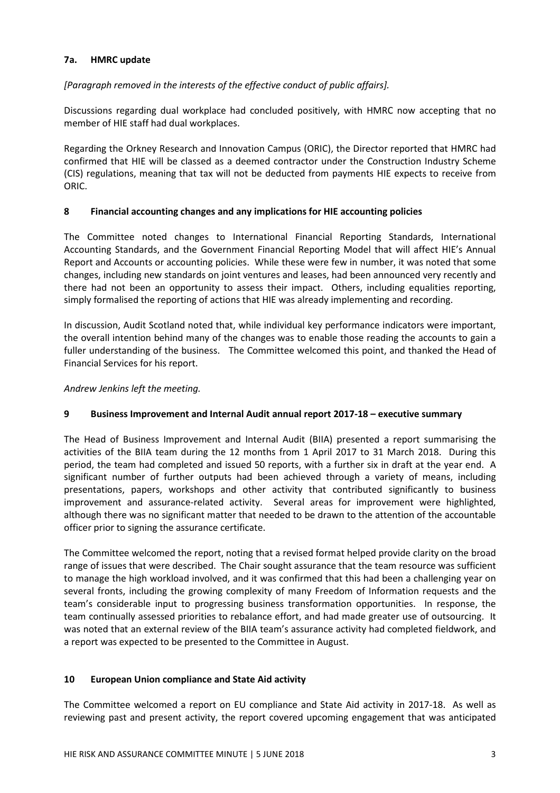# 7a. HMRC update

[Paragraph removed in the interests of the effective conduct of public affairs].

Discussions regarding dual workplace had concluded positively, with HMRC now accepting that no member of HIE staff had dual workplaces.

Regarding the Orkney Research and Innovation Campus (ORIC), the Director reported that HMRC had confirmed that HIE will be classed as a deemed contractor under the Construction Industry Scheme (CIS) regulations, meaning that tax will not be deducted from payments HIE expects to receive from ORIC.

# 8 Financial accounting changes and any implications for HIE accounting policies

The Committee noted changes to International Financial Reporting Standards, International Accounting Standards, and the Government Financial Reporting Model that will affect HIE's Annual Report and Accounts or accounting policies. While these were few in number, it was noted that some changes, including new standards on joint ventures and leases, had been announced very recently and there had not been an opportunity to assess their impact. Others, including equalities reporting, simply formalised the reporting of actions that HIE was already implementing and recording.

In discussion, Audit Scotland noted that, while individual key performance indicators were important, the overall intention behind many of the changes was to enable those reading the accounts to gain a fuller understanding of the business. The Committee welcomed this point, and thanked the Head of Financial Services for his report.

## Andrew Jenkins left the meeting.

# 9 Business Improvement and Internal Audit annual report 2017-18 – executive summary

The Head of Business Improvement and Internal Audit (BIIA) presented a report summarising the activities of the BIIA team during the 12 months from 1 April 2017 to 31 March 2018. During this period, the team had completed and issued 50 reports, with a further six in draft at the year end. A significant number of further outputs had been achieved through a variety of means, including presentations, papers, workshops and other activity that contributed significantly to business improvement and assurance-related activity. Several areas for improvement were highlighted, although there was no significant matter that needed to be drawn to the attention of the accountable officer prior to signing the assurance certificate.

The Committee welcomed the report, noting that a revised format helped provide clarity on the broad range of issues that were described. The Chair sought assurance that the team resource was sufficient to manage the high workload involved, and it was confirmed that this had been a challenging year on several fronts, including the growing complexity of many Freedom of Information requests and the team's considerable input to progressing business transformation opportunities. In response, the team continually assessed priorities to rebalance effort, and had made greater use of outsourcing. It was noted that an external review of the BIIA team's assurance activity had completed fieldwork, and a report was expected to be presented to the Committee in August.

## 10 European Union compliance and State Aid activity

The Committee welcomed a report on EU compliance and State Aid activity in 2017-18. As well as reviewing past and present activity, the report covered upcoming engagement that was anticipated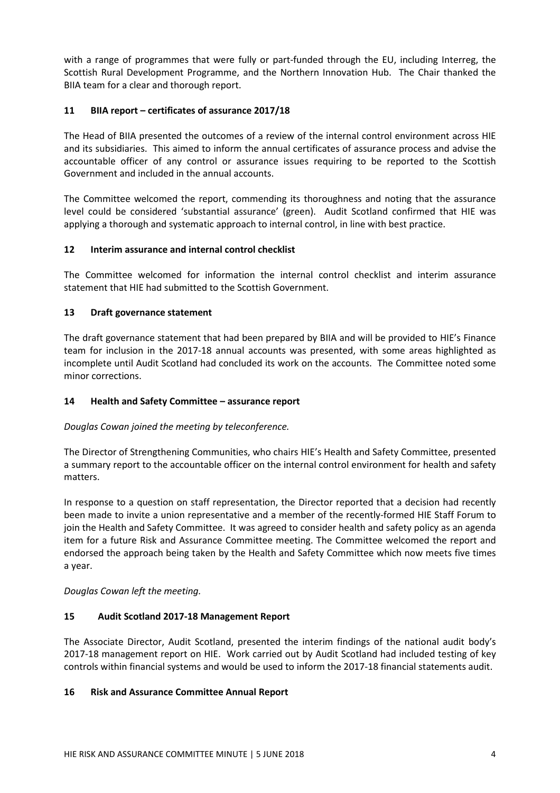with a range of programmes that were fully or part-funded through the EU, including Interreg, the Scottish Rural Development Programme, and the Northern Innovation Hub. The Chair thanked the BIIA team for a clear and thorough report.

# 11 BIIA report – certificates of assurance 2017/18

The Head of BIIA presented the outcomes of a review of the internal control environment across HIE and its subsidiaries. This aimed to inform the annual certificates of assurance process and advise the accountable officer of any control or assurance issues requiring to be reported to the Scottish Government and included in the annual accounts.

The Committee welcomed the report, commending its thoroughness and noting that the assurance level could be considered 'substantial assurance' (green). Audit Scotland confirmed that HIE was applying a thorough and systematic approach to internal control, in line with best practice.

# 12 Interim assurance and internal control checklist

The Committee welcomed for information the internal control checklist and interim assurance statement that HIE had submitted to the Scottish Government.

# 13 Draft governance statement

The draft governance statement that had been prepared by BIIA and will be provided to HIE's Finance team for inclusion in the 2017-18 annual accounts was presented, with some areas highlighted as incomplete until Audit Scotland had concluded its work on the accounts. The Committee noted some minor corrections.

## 14 Health and Safety Committee – assurance report

## Douglas Cowan joined the meeting by teleconference.

The Director of Strengthening Communities, who chairs HIE's Health and Safety Committee, presented a summary report to the accountable officer on the internal control environment for health and safety matters.

In response to a question on staff representation, the Director reported that a decision had recently been made to invite a union representative and a member of the recently-formed HIE Staff Forum to join the Health and Safety Committee. It was agreed to consider health and safety policy as an agenda item for a future Risk and Assurance Committee meeting. The Committee welcomed the report and endorsed the approach being taken by the Health and Safety Committee which now meets five times a year.

Douglas Cowan left the meeting.

## 15 Audit Scotland 2017-18 Management Report

The Associate Director, Audit Scotland, presented the interim findings of the national audit body's 2017-18 management report on HIE. Work carried out by Audit Scotland had included testing of key controls within financial systems and would be used to inform the 2017-18 financial statements audit.

## 16 Risk and Assurance Committee Annual Report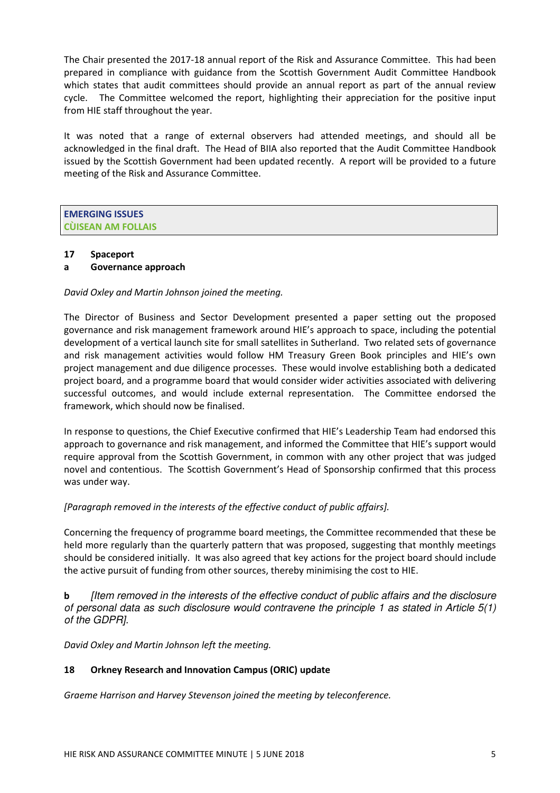The Chair presented the 2017-18 annual report of the Risk and Assurance Committee. This had been prepared in compliance with guidance from the Scottish Government Audit Committee Handbook which states that audit committees should provide an annual report as part of the annual review cycle. The Committee welcomed the report, highlighting their appreciation for the positive input from HIE staff throughout the year.

It was noted that a range of external observers had attended meetings, and should all be acknowledged in the final draft. The Head of BIIA also reported that the Audit Committee Handbook issued by the Scottish Government had been updated recently. A report will be provided to a future meeting of the Risk and Assurance Committee.

# EMERGING ISSUES CÙISEAN AM FOLLAIS

# 17 Spaceport

# a Governance approach

# David Oxley and Martin Johnson joined the meeting.

The Director of Business and Sector Development presented a paper setting out the proposed governance and risk management framework around HIE's approach to space, including the potential development of a vertical launch site for small satellites in Sutherland. Two related sets of governance and risk management activities would follow HM Treasury Green Book principles and HIE's own project management and due diligence processes. These would involve establishing both a dedicated project board, and a programme board that would consider wider activities associated with delivering successful outcomes, and would include external representation. The Committee endorsed the framework, which should now be finalised.

In response to questions, the Chief Executive confirmed that HIE's Leadership Team had endorsed this approach to governance and risk management, and informed the Committee that HIE's support would require approval from the Scottish Government, in common with any other project that was judged novel and contentious. The Scottish Government's Head of Sponsorship confirmed that this process was under way.

# [Paragraph removed in the interests of the effective conduct of public affairs].

Concerning the frequency of programme board meetings, the Committee recommended that these be held more regularly than the quarterly pattern that was proposed, suggesting that monthly meetings should be considered initially. It was also agreed that key actions for the project board should include the active pursuit of funding from other sources, thereby minimising the cost to HIE.

**b** [Item removed in the interests of the effective conduct of public affairs and the disclosure of personal data as such disclosure would contravene the principle 1 as stated in Article 5(1) of the GDPR].

David Oxley and Martin Johnson left the meeting.

# 18 Orkney Research and Innovation Campus (ORIC) update

Graeme Harrison and Harvey Stevenson joined the meeting by teleconference.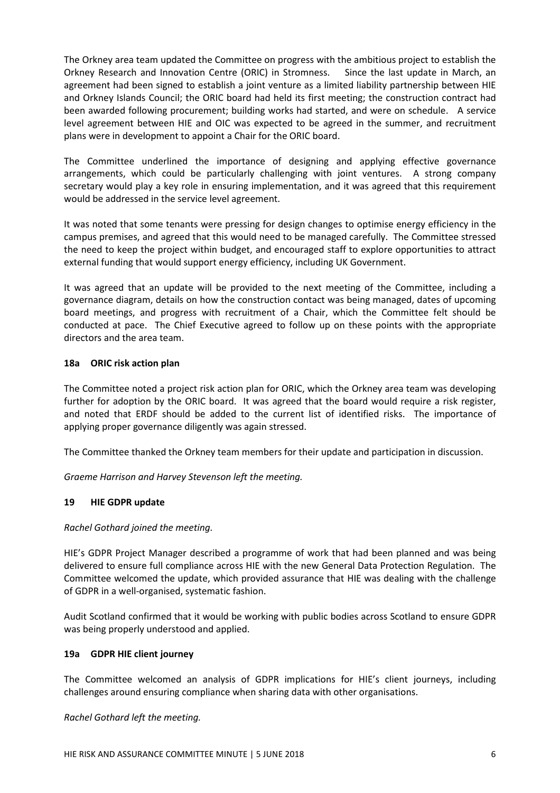The Orkney area team updated the Committee on progress with the ambitious project to establish the Orkney Research and Innovation Centre (ORIC) in Stromness. Since the last update in March, an agreement had been signed to establish a joint venture as a limited liability partnership between HIE and Orkney Islands Council; the ORIC board had held its first meeting; the construction contract had been awarded following procurement; building works had started, and were on schedule. A service level agreement between HIE and OIC was expected to be agreed in the summer, and recruitment plans were in development to appoint a Chair for the ORIC board.

The Committee underlined the importance of designing and applying effective governance arrangements, which could be particularly challenging with joint ventures. A strong company secretary would play a key role in ensuring implementation, and it was agreed that this requirement would be addressed in the service level agreement.

It was noted that some tenants were pressing for design changes to optimise energy efficiency in the campus premises, and agreed that this would need to be managed carefully. The Committee stressed the need to keep the project within budget, and encouraged staff to explore opportunities to attract external funding that would support energy efficiency, including UK Government.

It was agreed that an update will be provided to the next meeting of the Committee, including a governance diagram, details on how the construction contact was being managed, dates of upcoming board meetings, and progress with recruitment of a Chair, which the Committee felt should be conducted at pace. The Chief Executive agreed to follow up on these points with the appropriate directors and the area team.

# 18a ORIC risk action plan

The Committee noted a project risk action plan for ORIC, which the Orkney area team was developing further for adoption by the ORIC board. It was agreed that the board would require a risk register, and noted that ERDF should be added to the current list of identified risks. The importance of applying proper governance diligently was again stressed.

The Committee thanked the Orkney team members for their update and participation in discussion.

Graeme Harrison and Harvey Stevenson left the meeting.

# 19 HIE GDPR update

Rachel Gothard joined the meeting.

HIE's GDPR Project Manager described a programme of work that had been planned and was being delivered to ensure full compliance across HIE with the new General Data Protection Regulation. The Committee welcomed the update, which provided assurance that HIE was dealing with the challenge of GDPR in a well-organised, systematic fashion.

Audit Scotland confirmed that it would be working with public bodies across Scotland to ensure GDPR was being properly understood and applied.

## 19a GDPR HIE client journey

The Committee welcomed an analysis of GDPR implications for HIE's client journeys, including challenges around ensuring compliance when sharing data with other organisations.

Rachel Gothard left the meeting.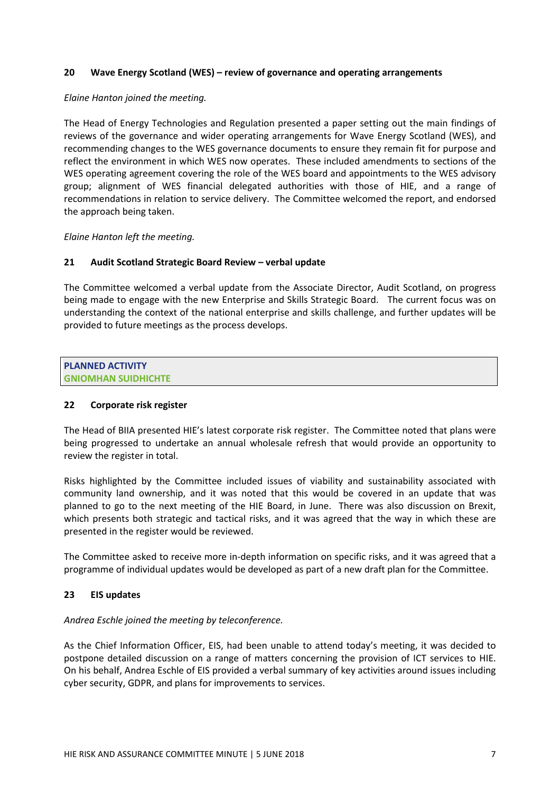## 20 Wave Energy Scotland (WES) – review of governance and operating arrangements

#### Elaine Hanton joined the meeting.

The Head of Energy Technologies and Regulation presented a paper setting out the main findings of reviews of the governance and wider operating arrangements for Wave Energy Scotland (WES), and recommending changes to the WES governance documents to ensure they remain fit for purpose and reflect the environment in which WES now operates. These included amendments to sections of the WES operating agreement covering the role of the WES board and appointments to the WES advisory group; alignment of WES financial delegated authorities with those of HIE, and a range of recommendations in relation to service delivery. The Committee welcomed the report, and endorsed the approach being taken.

Elaine Hanton left the meeting.

## 21 Audit Scotland Strategic Board Review – verbal update

The Committee welcomed a verbal update from the Associate Director, Audit Scotland, on progress being made to engage with the new Enterprise and Skills Strategic Board. The current focus was on understanding the context of the national enterprise and skills challenge, and further updates will be provided to future meetings as the process develops.

PLANNED ACTIVITY GNIOMHAN SUIDHICHTE

## 22 Corporate risk register

The Head of BIIA presented HIE's latest corporate risk register. The Committee noted that plans were being progressed to undertake an annual wholesale refresh that would provide an opportunity to review the register in total.

Risks highlighted by the Committee included issues of viability and sustainability associated with community land ownership, and it was noted that this would be covered in an update that was planned to go to the next meeting of the HIE Board, in June. There was also discussion on Brexit, which presents both strategic and tactical risks, and it was agreed that the way in which these are presented in the register would be reviewed.

The Committee asked to receive more in-depth information on specific risks, and it was agreed that a programme of individual updates would be developed as part of a new draft plan for the Committee.

## 23 EIS updates

## Andrea Eschle joined the meeting by teleconference.

As the Chief Information Officer, EIS, had been unable to attend today's meeting, it was decided to postpone detailed discussion on a range of matters concerning the provision of ICT services to HIE. On his behalf, Andrea Eschle of EIS provided a verbal summary of key activities around issues including cyber security, GDPR, and plans for improvements to services.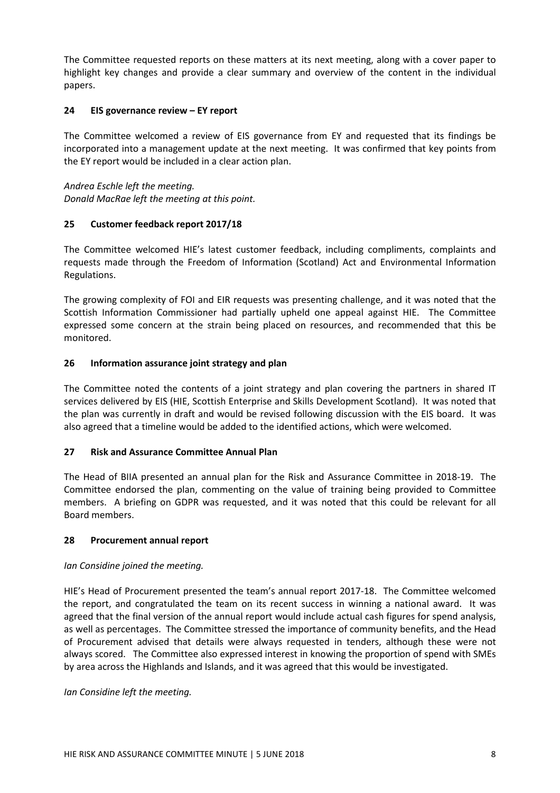The Committee requested reports on these matters at its next meeting, along with a cover paper to highlight key changes and provide a clear summary and overview of the content in the individual papers.

# 24 EIS governance review – EY report

The Committee welcomed a review of EIS governance from EY and requested that its findings be incorporated into a management update at the next meeting. It was confirmed that key points from the EY report would be included in a clear action plan.

Andrea Eschle left the meeting. Donald MacRae left the meeting at this point.

## 25 Customer feedback report 2017/18

The Committee welcomed HIE's latest customer feedback, including compliments, complaints and requests made through the Freedom of Information (Scotland) Act and Environmental Information Regulations.

The growing complexity of FOI and EIR requests was presenting challenge, and it was noted that the Scottish Information Commissioner had partially upheld one appeal against HIE. The Committee expressed some concern at the strain being placed on resources, and recommended that this be monitored.

# 26 Information assurance joint strategy and plan

The Committee noted the contents of a joint strategy and plan covering the partners in shared IT services delivered by EIS (HIE, Scottish Enterprise and Skills Development Scotland). It was noted that the plan was currently in draft and would be revised following discussion with the EIS board. It was also agreed that a timeline would be added to the identified actions, which were welcomed.

## 27 Risk and Assurance Committee Annual Plan

The Head of BIIA presented an annual plan for the Risk and Assurance Committee in 2018-19. The Committee endorsed the plan, commenting on the value of training being provided to Committee members. A briefing on GDPR was requested, and it was noted that this could be relevant for all Board members.

## 28 Procurement annual report

## Ian Considine joined the meeting.

HIE's Head of Procurement presented the team's annual report 2017-18. The Committee welcomed the report, and congratulated the team on its recent success in winning a national award. It was agreed that the final version of the annual report would include actual cash figures for spend analysis, as well as percentages. The Committee stressed the importance of community benefits, and the Head of Procurement advised that details were always requested in tenders, although these were not always scored. The Committee also expressed interest in knowing the proportion of spend with SMEs by area across the Highlands and Islands, and it was agreed that this would be investigated.

Ian Considine left the meeting.